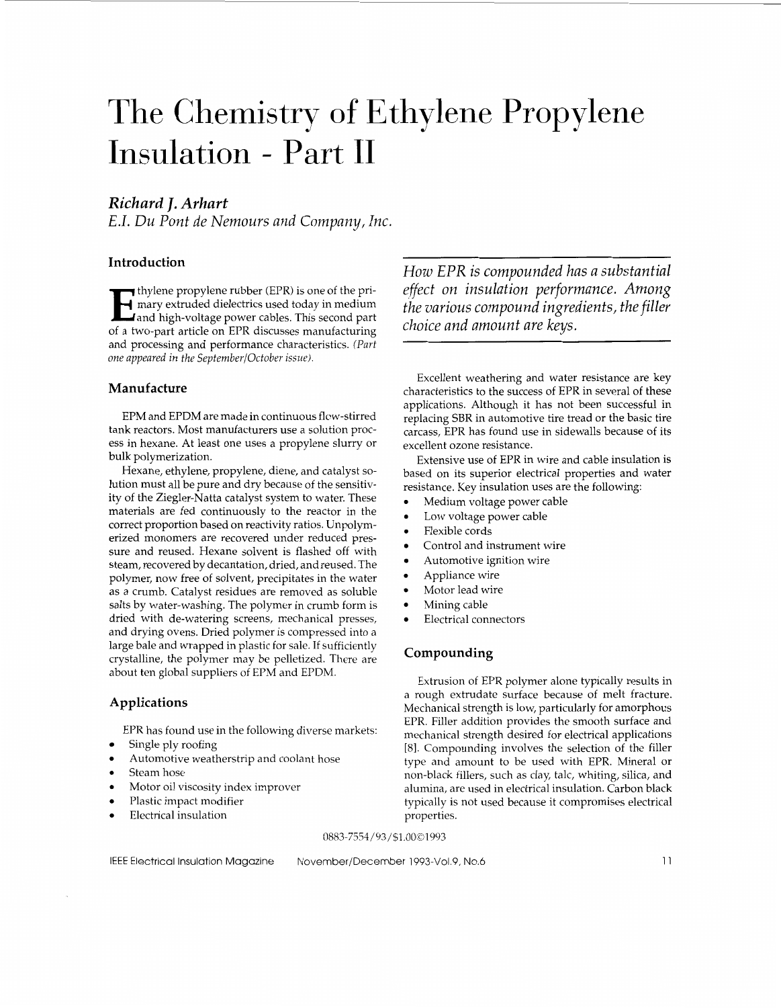# The Chemistry of Ethylene Propylene Insulation - Part IT

# *Richard J. Arhart*

*E.I. Du Pont de Nemours and Company, Inc.* 

# **Introduction**

thylene propylene rubber (EPR) is one of the primary extruded dielectrics used today in medium <sup>I</sup>and high-voltage power cables. This second part of a two-part article on EPR discusses manufacturing and processing and performance characteristics. *(Part one appeared in the SeptemberlOctober issue).* 

#### **Manufacture**

EPM and EPDM are made in continuous flow-stirred tank reactors. Most manufacturers use a solution process in hexane. At least one uses a propylene slurry or bulk polymerization.

Hexane, ethylene, propylene, diene, and catalyst solution must all be pure and dry because of the sensitivity of the Ziegler-Natta catalyst system to water. These materials are fed continuously to the reactor in the correct proportion based on reactivity ratios. Unpolymerized monomers are recovered under reduced pressure and reused. Hexane solvent is flashed off with steam, recovered by decantation, dried, and reused. The polymer, now free of solvent, precipitates in the water as a crumb. Catalyst residues are removed as soluble salts by water-washing. The polymer in crumb form is dried with de-watering screens, mechanical presses, and drying ovens. Dried polymer is compressed into a large bale and wrapped in plastic for sale. If sufficiently crystalline, the polymer may be pelletized. There are about ten global suppliers of EPM and EPDM.

## **Applications**

EPR has found use in the following diverse markets:

- Single ply roofing
- Automotive weatherstrip and coolant hose
- **Steam** hose
- Motor oil viscosity index improver
- Plastic impact modifier
- Electrical insulation

*How EPR is compounded has a substantial effect on insulation performance. Among the various compound ingredients, the filler choice and amount are keys.* 

Excellent weathering and water resistance are key characteristics to the success of EPR in several of these applications. Although it has not been successful in replacing SBR in automotive tire tread or the basic tire carcass, EPR has found use in sidewalls because of its excellent ozone resistance.

Extensive use of EPR in wire and cable insulation is based on its superior electrical properties and water resistance. Key insulation uses are the following:

- Medium voltage power cable
- *<sup>0</sup>*Low voltage power cable
- Flexible cords
- Control and instrument wire
- Automotive ignition wire
- Appliance wire
- Motor lead wire
- Mining cable
- Electrical connectors

# **Compounding**

Extrusion of EPR polymer alone typically results in a rough extrudate surface because of melt fracture. Mechanical strength is low, particularly for amorphous EPR. Filler addition provides the smooth surface and mechanical strength desired for electrical applications [81. Compounding involves the selection of the filler type and amount to be used with EPR. Mineral or non-black fillers, such as clay, talc, whiting, silica, and alumina, are used in electrical insulation. Carbon black typically is not used because it compromises electrical properties.

0883-7554/93/\$1.0001993

IEEE Electrical Insulation Magazine November/December 1993-Vo1.9, No.6 11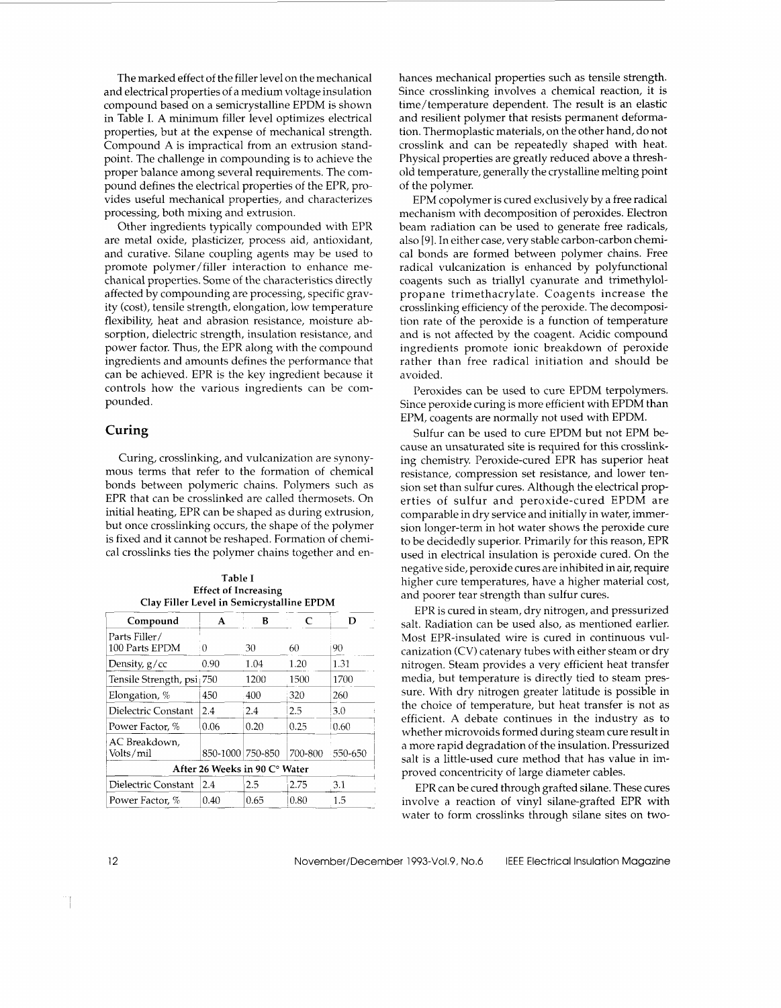The marked effect of the filler level on the mechanical and electrical properties of a medium voltage insulation compound based on a semicrystalline EPDM is shown in Table I. **A** minimum filler level optimizes electrical properties, but at the expense of mechanical strength. Compound **A** is impractical from an extrusion standpoint. The challenge in compounding is to achieve the proper balance among several requirements. The compound defines the electrical properties of the EPR, provides useful mechanical properties, and characterizes processing, both mixing and extrusion

Other ingredients typically compounded with EPR are metal oxide, plasticizer, process aid, antioxidant, and curative. Silane coupling agents may be used to promote polymer/filler interaction to enhance mechanical properties. Some of the characteristics directly affected by compounding are processing, specific gravity (cost), tensile strength, elongation, low temperature flexibility, heat and abrasion resistance, moisture absorption, dielectric strength, insulation resistance, and power factor. Thus, the EPR along with the compound ingredients and amounts defines the performance that can be achieved. EPR is the key ingredient because it controls how the various ingredients can be compounded.

# **Curing**

Curing, crosslinking, and vulcanization are synonymous terms that refer to the formation of chemical bonds between polymeric chains. Polymers such as EPR that can be crosslinked are called thermosets. On initial heating, EPR can be shaped as during extrusion, but once crosslinking occurs, the shape of the polymer is fixed and it cannot be reshaped. Formation of chemical crosslinks ties the polymer chains together and en-

| Table I                                   |
|-------------------------------------------|
| <b>Effect of Increasing</b>               |
| Clay Filler Level in Semicrystalline EPDM |

| Compound                   | A                             | в    | C       | D        |
|----------------------------|-------------------------------|------|---------|----------|
| Parts Filler/              |                               |      |         |          |
| 100 Parts EPDM             | :0                            | 30   | 60      | 90       |
| Density, g/cc              | 0.90                          | 1.04 | 1.20    | 1.31     |
| Tensile Strength, psi      | 750                           | 1200 | 1500    | 1700     |
| Elongation, %              | 450                           | -400 | 320     | 260      |
| Dielectric Constant        | 2.4                           | 2.4  | 2.5     | 3.0      |
| Power Factor, %            | 0.06                          | 0.20 | 0.25    | 0.60     |
| AC Breakdown.<br>Volts/mil | 850-1000 750-850              |      | 700-800 | -550-650 |
|                            | After 26 Weeks in 90 C° Water |      |         |          |
| Dielectric Constant        | 2.4                           | 2.5  | 2.75    | 3.1      |
| Power Factor, %            | 0.40                          | 0.65 | 0.80    | 1.5      |

hances mechanical properties such as tensile strength. Since crosslinking involves a chemical reaction, it is time/temperature dependent. The result is an elastic and resilient polymer that resists permanent deformation. Thermoplastic materials, on the other hand, do not crosslink and can be repeatedly shaped with heat. Physical properties are greatly reduced above a threshold temperature, generally the crystalline melting point of the polymer.

EPM copolymer is cured exclusively by a free radical mechanism with decomposition of peroxides. Electron beam radiation can be used to generate free radicals, also [9]. In either case, very stable carbon-carbon chemical bonds are formed between polymer chains. Free radical vulcanization is enhanced by polyfunctional coagents such as triallyl cyanurate and trimethylolpropane trimethacrylate. Coagents increase the crosslinking efficiency of the peroxide. The decomposition rate of the peroxide is a function of temperature and is not affected by the coagent. Acidic compound ingredients promote ionic breakdown of peroxide rather than free radical initiation and should be avoided.

Peroxides can be used to cure EPDM terpolymers. Since peroxide curing is more efficient with EPDM than EPM, coagents are normally not used with EPDM.

Sulfur can be used to cure EPDM but not EPM because an unsaturated site is required for this crosslinking chemistry. Peroxide-cured EPR has superior heat resistance, compression set resistance, and lower tension set than sulfur cures. Although the electrical properties of sulfur and peroxide-cured EPDM are comparable in dry service and initially in water, immersion longer-term in hot water shows the peroxide cure to be decidedly superior. Primarily for this reason, EPR used in electrical insulation is peroxide cured. On the negative side, peroxide cures are inhibited in air, require higher cure temperatures, have a higher material cost, and poorer tear strength than sulfur cures.

EPR is cured in steam, dry nitrogen, and pressurized salt. Radiation can be used also, as mentioned earlier. Most EPR-insulated wire is cured in continuous vulcanization (CV) catenary tubes with either steam or dry nitrogen. Steam provides a very efficient heat transfer media, but temperature is directly tied to steam pressure. With dry nitrogen greater latitude is possible in the choice of temperature, but heat transfer is not as efficient. A debate continues in the industry as to whether microvoids formed during steam cure result in a more rapid degradation of the insulation. Pressurized salt is a little-used cure method that has value in improved concentricity of large diameter cables.

EPR can be cured through grafted silane. These cures involve a reaction of vinyl silane-grafted EPR with water to form crosslinks through silane sites on two-

12 November/December 1993-Vo1.9, No.6 IEEE Electrical Insulation Magazine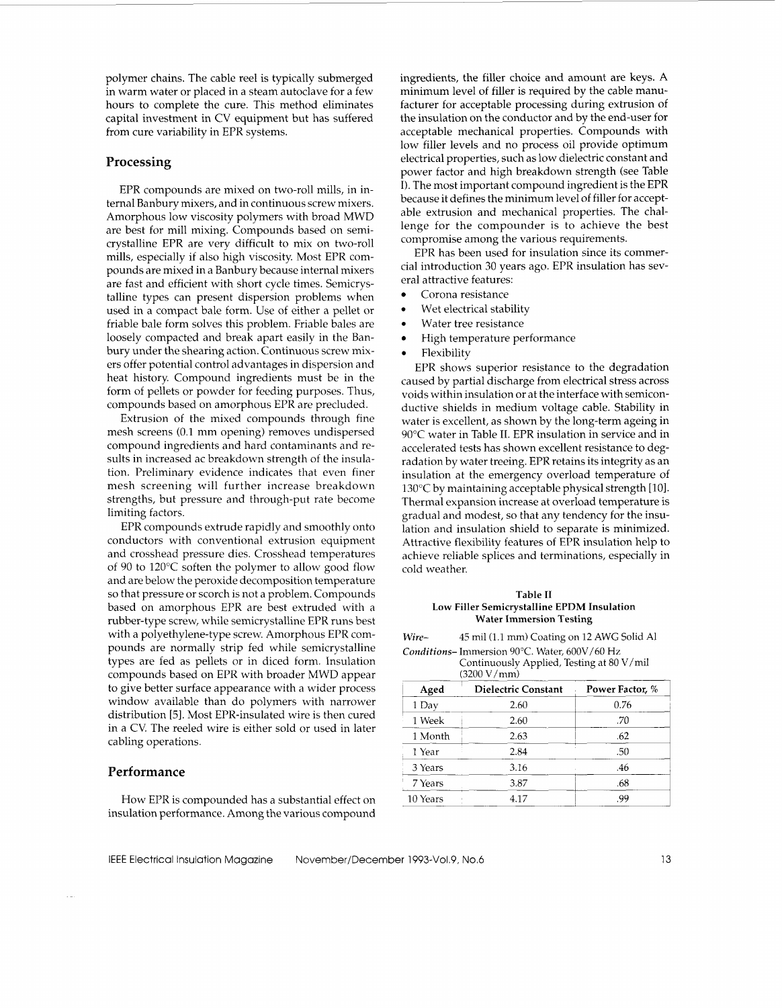polymer chains. The cable reel is typically submerged in warm water or placed in a steam autoclave for a few hours to complete the cure. This method eliminates capital investment in CV equipment but has suffered from cure variability in EPR systems.

#### **Processing**

EPR compounds are mixed on two-roll mills, in internal Banbury mixers, and in continuous screw mixers. Amorphous low viscosity polymers with broad MWD are best for mill mixing. Compounds based on semicrystalline EPR are very difficult to mix on two-roll mills, especially if also high viscosity. Most EPR compounds are mixed in a Banbury because internal mixers are fast and efficient with short cycle times. Semicrystalline types can present dispersion problems when used in a compact bale form. Use of either a pellet or friable bale form solves this problem. Friable bales are loosely compacted and break apart easily in the Banbury under the shearing action. Continuous screw mixers offer potential control advantages in dispersion and heat history. Compound ingredients must be in the form of pellets or powder for feeding purposes. Thus, compounds based on amorphous EPR are precluded.

Extrusion of the mixed compounds through fine mesh screens (0.1 mm opening) removes undispersed compound ingredients and hard contaminants and results in increased ac breakdown strength of the insulation. Preliminary evidence indicates that even finer mesh screening will further increase breakdown strengths, but pressure and through-put rate become limiting factors.

EPR compounds extrude rapidly and smoothly onto conductors with conventional extrusion equipment and crosshead pressure dies. Crosshead temperatures of 90 to 120°C soften the polymer to allow good flow and are below the peroxide decomposition temperature so that pressure or scorch is not a problem. Compounds based on amorphous EPR are best extruded with a rubber-type screw, while semicrystalline EPR runs best with a polyethylene-type screw. Amorphous EPR compounds are normally strip fed while semicrystalline types are fed as pellets or in diced form. Insulation compounds based on EPR with broader MWD appear to give better surface appearance with a wider process window available than do polymers with narrower distribution [5]. Most EPR-insulated wire is then cured in a CV. The reeled wire is either sold or used in later cabling operations.

#### **Performance**

How EPR is compounded has a substantial effect on insulation performance. Among the various compound ingredients, the filler choice and amount are keys. **A**  minimum level of filler is required by the cable manufacturer for acceptable processing during extrusion of the insulation on the conductor and by the end-user for acceptable mechanical properties. Compounds with low filler levels and no process oil provide optimum electrical properties, such as low dielectric constant and power factor and high breakdown strength (see Table I). The most important compound ingredient is the EPR because it defines the minimum level of filler for acceptable extrusion and mechanical properties. The challenge for the compounder is to achieve the best compromise among the various requirements.

EPR has been used for insulation since its commercial introduction 30 years ago. EPR insulation has several attractive features:

- Corona resistance
- Wet electrical stability
- Water tree resistance
- $\bullet$ High temperature performance
- **•** Flexibility

EPR shows superior resistance to the degradation caused by partial discharge from electrical stress across voids within insulation or at the interface with semiconductive shields in medium voltage cable. Stability in water is excellent, as shown by the long-term ageing in 90°C water in Table 11. EPR insulation in service and in accelerated tests has shown excellent resistance to degradation by water treeing. EPR retains its integrity as an insulation at the emergency overload temperature of 130°C by maintaining acceptable physical strength [10]. Thermal expansion increase at overload temperature is gradual and modest, so that any tendency for the insulation and insulation shield to separate is minimized. Attractive flexibility features of EPR insulation help to achieve reliable splices and terminations, especially in cold weather.

#### **Table I1 Low Filler Semicrystalline EPDM Insulation Water Immersion Testing**

| 45 mil (1.1 mm) Coating on 12 AWG Solid Al<br>Wire-<br><i>Conditions</i> –Immersion 90 $\degree$ C. Water, 600V/60 Hz<br>Continuously Applied, Testing at 80 V/mil<br>(3200 V/mm) |      |      |  |  |
|-----------------------------------------------------------------------------------------------------------------------------------------------------------------------------------|------|------|--|--|
|                                                                                                                                                                                   |      |      |  |  |
| 1 Day                                                                                                                                                                             | 2.60 | 0.76 |  |  |
| 1 Week                                                                                                                                                                            | 2.60 | .70  |  |  |
| 1 Month                                                                                                                                                                           | 2.63 | .62  |  |  |
| 1 Year                                                                                                                                                                            | 2.84 | .50  |  |  |
| 3 Years                                                                                                                                                                           | 3.16 | .46  |  |  |
| 7 Years                                                                                                                                                                           | 3.87 | .68  |  |  |
| 10 Years                                                                                                                                                                          | 4.17 | .99  |  |  |

IEEE Electrical Insulation Magazine November/December 1993-Vol.9, No.6 13